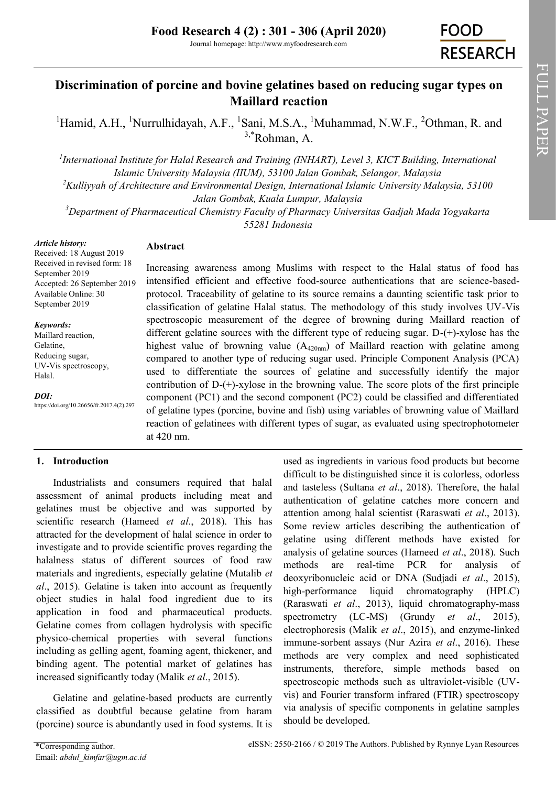Journal homepage: http://www.myfoodresearch.com

# **Discrimination of porcine and bovine gelatines based on reducing sugar types on Maillard reaction**

<sup>1</sup>Hamid, A.H., <sup>1</sup>Nurrulhidayah, A.F., <sup>1</sup>Sani, M.S.A., <sup>1</sup>Muhammad, N.W.F., <sup>2</sup>Othman, R. and  $3, *$ [Rohman, A.](http://orcid.org/0000-0002-1141-7093)

<sup>1</sup> International Institute for Halal Research and Training (INHART), Level 3, KICT Building, International *Islamic University Malaysia (IIUM), 53100 Jalan Gombak, Selangor, Malaysia <sup>2</sup>Kulliyyah of Architecture and Environmental Design, International Islamic University Malaysia, 53100 Jalan Gombak, Kuala Lumpur, Malaysia <sup>3</sup>Department of Pharmaceutical Chemistry Faculty of Pharmacy Universitas Gadjah Mada Yogyakarta* 

*55281 Indonesia*

#### *Article history:*

# **Abstract**

Received: 18 August 2019 Received in revised form: 18 September 2019 Accepted: 26 September 2019 Available Online: 30 September 2019

#### *Keywords:*

Maillard reaction, Gelatine, Reducing sugar, UV-Vis spectroscopy, Halal.

*DOI:*

https://doi.org/10.26656/fr.2017.4(2).297

Increasing awareness among Muslims with respect to the Halal status of food has intensified efficient and effective food-source authentications that are science-basedprotocol. Traceability of gelatine to its source remains a daunting scientific task prior to classification of gelatine Halal status. The methodology of this study involves UV-Vis spectroscopic measurement of the degree of browning during Maillard reaction of different gelatine sources with the different type of reducing sugar. D-(+)-xylose has the highest value of browning value  $(A_{420nm})$  of Maillard reaction with gelatine among compared to another type of reducing sugar used. Principle Component Analysis (PCA) used to differentiate the sources of gelatine and successfully identify the major contribution of  $D^{-(+)}$ -xylose in the browning value. The score plots of the first principle component (PC1) and the second component (PC2) could be classified and differentiated of gelatine types (porcine, bovine and fish) using variables of browning value of Maillard reaction of gelatinees with different types of sugar, as evaluated using spectrophotometer at 420 nm.

# **1. Introduction**

Industrialists and consumers required that halal assessment of animal products including meat and gelatines must be objective and was supported by scientific research (Hameed *et al*., 2018). This has attracted for the development of halal science in order to investigate and to provide scientific proves regarding the halalness status of different sources of food raw materials and ingredients, especially gelatine (Mutalib *et al*., 2015). Gelatine is taken into account as frequently object studies in halal food ingredient due to its application in food and pharmaceutical products. Gelatine comes from collagen hydrolysis with specific physico-chemical properties with several functions including as gelling agent, foaming agent, thickener, and binding agent. The potential market of gelatines has increased significantly today (Malik *et al*., 2015).

Gelatine and gelatine-based products are currently classified as doubtful because gelatine from haram (porcine) source is abundantly used in food systems. It is

used as ingredients in various food products but become difficult to be distinguished since it is colorless, odorless and tasteless (Sultana *et al*., 2018). Therefore, the halal authentication of gelatine catches more concern and attention among halal scientist (Raraswati *et al*., 2013). Some review articles describing the authentication of gelatine using different methods have existed for analysis of gelatine sources (Hameed *et al*., 2018). Such methods are real-time PCR for analysis of deoxyribonucleic acid or DNA (Sudjadi *et al*., 2015), high-performance liquid chromatography (HPLC) (Raraswati *et al*., 2013), liquid chromatography-mass spectrometry (LC-MS) (Grundy *et al*., 2015), electrophoresis (Malik *et al*., 2015), and enzyme-linked immune-sorbent assays (Nur Azira *et al*., 2016). These methods are very complex and need sophisticated instruments, therefore, simple methods based on spectroscopic methods such as ultraviolet-visible (UVvis) and Fourier transform infrared (FTIR) spectroscopy via analysis of specific components in gelatine samples should be developed.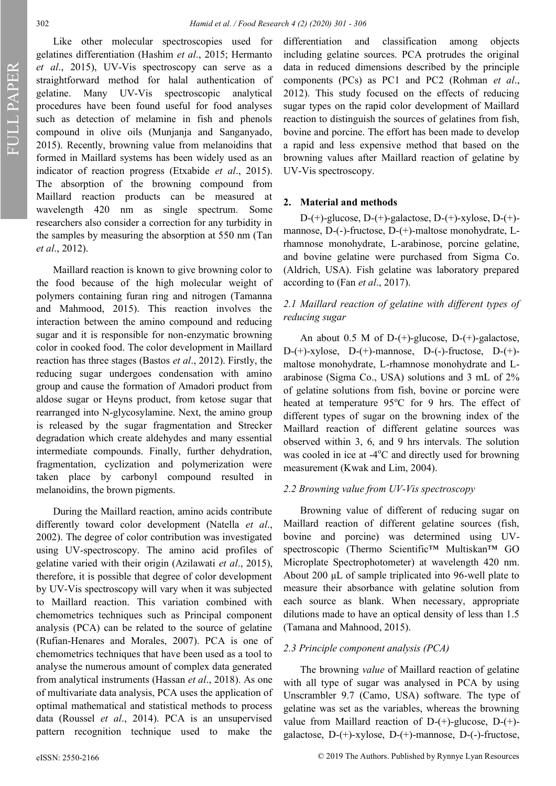FULL PAPERFULL PAPER

Like other molecular spectroscopies used for gelatines differentiation (Hashim *et al*., 2015; Hermanto *et al*., 2015), UV-Vis spectroscopy can serve as a straightforward method for halal authentication of gelatine. Many UV-Vis spectroscopic analytical procedures have been found useful for food analyses such as detection of melamine in fish and phenols compound in olive oils (Munjanja and Sanganyado, 2015). Recently, browning value from melanoidins that formed in Maillard systems has been widely used as an indicator of reaction progress (Etxabide *et al*., 2015). The absorption of the browning compound from Maillard reaction products can be measured at wavelength 420 nm as single spectrum*.* Some researchers also consider a correction for any turbidity in the samples by measuring the absorption at 550 nm (Tan *et al*., 2012).

Maillard reaction is known to give browning color to the food because of the high molecular weight of polymers containing furan ring and nitrogen (Tamanna and Mahmood, 2015). This reaction involves the interaction between the amino compound and reducing sugar and it is responsible for non-enzymatic browning color in cooked food. The color development in Maillard reaction has three stages (Bastos *et al*., 2012). Firstly, the reducing sugar undergoes condensation with amino group and cause the formation of Amadori product from aldose sugar or Heyns product, from ketose sugar that rearranged into N-glycosylamine. Next, the amino group is released by the sugar fragmentation and Strecker degradation which create aldehydes and many essential intermediate compounds. Finally, further dehydration, fragmentation, cyclization and polymerization were taken place by carbonyl compound resulted in melanoidins, the brown pigments.

During the Maillard reaction, amino acids contribute differently toward color development (Natella *et al*., 2002). The degree of color contribution was investigated using UV-spectroscopy. The amino acid profiles of gelatine varied with their origin (Azilawati *et al*., 2015), therefore, it is possible that degree of color development by UV-Vis spectroscopy will vary when it was subjected to Maillard reaction. This variation combined with chemometrics techniques such as Principal component analysis (PCA) can be related to the source of gelatine (Rufian-Henares and Morales, 2007). PCA is one of chemometrics techniques that have been used as a tool to analyse the numerous amount of complex data generated from analytical instruments (Hassan *et al*., 2018). As one of multivariate data analysis, PCA uses the application of optimal mathematical and statistical methods to process data (Roussel *et al*., 2014). PCA is an unsupervised pattern recognition technique used to make the

differentiation and classification among objects including gelatine sources. PCA protrudes the original data in reduced dimensions described by the principle components (PCs) as PC1 and PC2 (Rohman *et al*., 2012). This study focused on the effects of reducing sugar types on the rapid color development of Maillard reaction to distinguish the sources of gelatines from fish, bovine and porcine. The effort has been made to develop a rapid and less expensive method that based on the browning values after Maillard reaction of gelatine by UV-Vis spectroscopy.

## **2. Material and methods**

D-(+)-glucose, D-(+)-galactose, D-(+)-xylose, D-(+) mannose, D-(-)-fructose, D-(+)-maltose monohydrate, Lrhamnose monohydrate, L-arabinose, porcine gelatine, and bovine gelatine were purchased from Sigma Co. (Aldrich, USA). Fish gelatine was laboratory prepared according to (Fan *et al*., 2017).

# *2.1 Maillard reaction of gelatine with different types of reducing sugar*

An about 0.5 M of D-(+)-glucose, D-(+)-galactose, D-(+)-xylose, D-(+)-mannose, D-(-)-fructose, D-(+) maltose monohydrate, L-rhamnose monohydrate and Larabinose (Sigma Co., USA) solutions and 3 mL of 2% of gelatine solutions from fish, bovine or porcine were heated at temperature  $95^{\circ}$ C for 9 hrs. The effect of different types of sugar on the browning index of the Maillard reaction of different gelatine sources was observed within 3, 6, and 9 hrs intervals. The solution was cooled in ice at -4°C and directly used for browning measurement (Kwak and Lim, 2004).

#### *2.2 Browning value from UV-Vis spectroscopy*

Browning value of different of reducing sugar on Maillard reaction of different gelatine sources (fish, bovine and porcine) was determined using UVspectroscopic (Thermo Scientific™ Multiskan™ GO Microplate Spectrophotometer) at wavelength 420 nm. About 200 μL of sample triplicated into 96-well plate to measure their absorbance with gelatine solution from each source as blank. When necessary, appropriate dilutions made to have an optical density of less than 1.5 (Tamana and Mahnood, 2015).

## *2.3 Principle component analysis (PCA)*

The browning *value* of Maillard reaction of gelatine with all type of sugar was analysed in PCA by using Unscrambler 9.7 (Camo, USA) software. The type of gelatine was set as the variables, whereas the browning value from Maillard reaction of D-(+)-glucose, D-(+) galactose, D-(+)-xylose, D-(+)-mannose, D-(-)-fructose,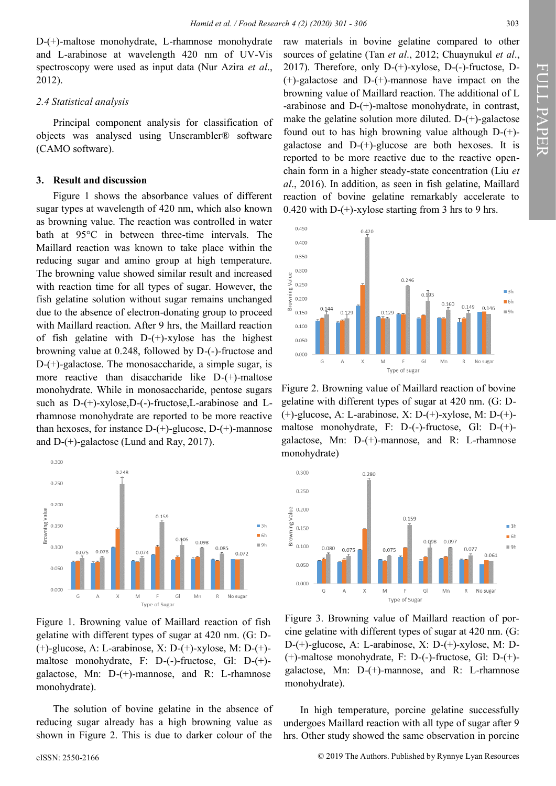D-(+)-maltose monohydrate, L-rhamnose monohydrate and L-arabinose at wavelength 420 nm of UV-Vis spectroscopy were used as input data (Nur Azira *et al*., 2012).

#### *2.4 Statistical analysis*

Principal component analysis for classification of objects was analysed using Unscrambler® software (CAMO software).

#### **3. Result and discussion**

Figure 1 shows the absorbance values of different sugar types at wavelength of 420 nm, which also known as browning value. The reaction was controlled in water bath at 95°C in between three-time intervals. The Maillard reaction was known to take place within the reducing sugar and amino group at high temperature. The browning value showed similar result and increased with reaction time for all types of sugar. However, the fish gelatine solution without sugar remains unchanged due to the absence of electron-donating group to proceed with Maillard reaction. After 9 hrs, the Maillard reaction of fish gelatine with  $D-(+)$ -xylose has the highest browning value at 0.248, followed by D-(-)-fructose and D-(+)-galactose. The monosaccharide, a simple sugar, is more reactive than disaccharide like D-(+)-maltose monohydrate. While in monosaccharide, pentose sugars such as D-(+)-xylose,D-(-)-fructose,L-arabinose and Lrhamnose monohydrate are reported to be more reactive than hexoses, for instance  $D-(+)$ -glucose,  $D-(+)$ -mannose and D-(+)-galactose (Lund and Ray, 2017).



Figure 1. Browning value of Maillard reaction of fish gelatine with different types of sugar at 420 nm. (G: D- (+)-glucose, A: L-arabinose, X: D-(+)-xylose, M: D-(+) maltose monohydrate, F: D-(-)-fructose, Gl: D-(+) galactose, Mn: D-(+)-mannose, and R: L-rhamnose monohydrate).

The solution of bovine gelatine in the absence of reducing sugar already has a high browning value as shown in Figure 2. This is due to darker colour of the

raw materials in bovine gelatine compared to other sources of gelatine (Tan *et al*., 2012; Chuaynukul *et al*., 2017). Therefore, only D-(+)-xylose, D-(-)-fructose, D- (+)-galactose and D-(+)-mannose have impact on the browning value of Maillard reaction. The additional of L -arabinose and D-(+)-maltose monohydrate, in contrast, make the gelatine solution more diluted.  $D-(+)$ -galactose found out to has high browning value although D-(+) galactose and  $D-(+)$ -glucose are both hexoses. It is reported to be more reactive due to the reactive openchain form in a higher steady-state concentration (Liu *et al*., 2016). In addition, as seen in fish gelatine, Maillard reaction of bovine gelatine remarkably accelerate to 0.420 with  $D$ -(+)-xylose starting from 3 hrs to 9 hrs.



Figure 2. Browning value of Maillard reaction of bovine gelatine with different types of sugar at 420 nm. (G: D- (+)-glucose, A: L-arabinose, X: D-(+)-xylose, M: D-(+) maltose monohydrate, F: D-(-)-fructose, Gl: D-(+) galactose, Mn: D-(+)-mannose, and R: L-rhamnose monohydrate)



Figure 3. Browning value of Maillard reaction of porcine gelatine with different types of sugar at 420 nm. (G: D-(+)-glucose, A: L-arabinose, X: D-(+)-xylose, M: D- (+)-maltose monohydrate, F: D-(-)-fructose, Gl: D-(+) galactose, Mn: D-(+)-mannose, and R: L-rhamnose monohydrate).

In high temperature, porcine gelatine successfully undergoes Maillard reaction with all type of sugar after 9 hrs. Other study showed the same observation in porcine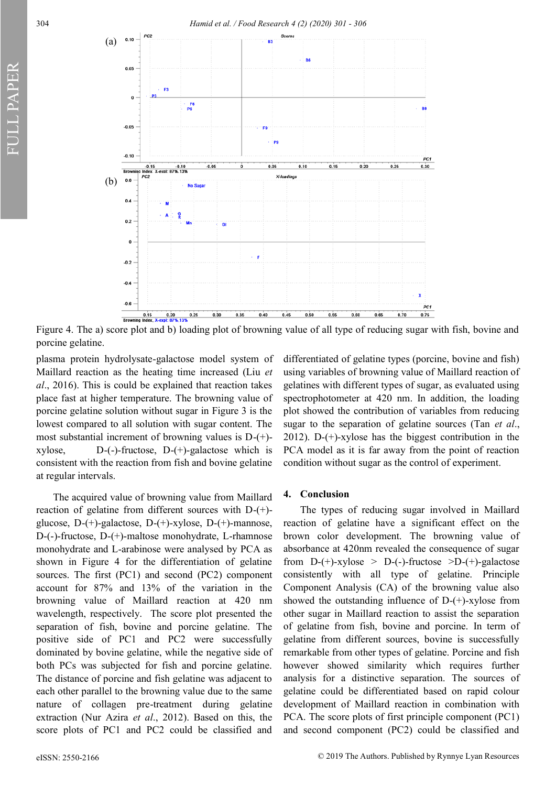FULL PAPER



Figure 4. The a) score plot and b) loading plot of browning value of all type of reducing sugar with fish, bovine and porcine gelatine.

plasma protein hydrolysate-galactose model system of Maillard reaction as the heating time increased (Liu *et al*., 2016). This is could be explained that reaction takes place fast at higher temperature. The browning value of porcine gelatine solution without sugar in Figure 3 is the lowest compared to all solution with sugar content. The most substantial increment of browning values is D-(+) xylose, D-(-)-fructose, D-(+)-galactose which is consistent with the reaction from fish and bovine gelatine at regular intervals.

The acquired value of browning value from Maillard reaction of gelatine from different sources with D-(+) glucose, D-(+)-galactose, D-(+)-xylose, D-(+)-mannose, D-(-)-fructose, D-(+)-maltose monohydrate, L-rhamnose monohydrate and L-arabinose were analysed by PCA as shown in Figure 4 for the differentiation of gelatine sources. The first (PC1) and second (PC2) component account for 87% and 13% of the variation in the browning value of Maillard reaction at 420 nm wavelength, respectively. The score plot presented the separation of fish, bovine and porcine gelatine. The positive side of PC1 and PC2 were successfully dominated by bovine gelatine, while the negative side of both PCs was subjected for fish and porcine gelatine. The distance of porcine and fish gelatine was adjacent to each other parallel to the browning value due to the same nature of collagen pre-treatment during gelatine extraction (Nur Azira *et al*., 2012). Based on this, the score plots of PC1 and PC2 could be classified and

differentiated of gelatine types (porcine, bovine and fish) using variables of browning value of Maillard reaction of gelatines with different types of sugar, as evaluated using spectrophotometer at 420 nm. In addition, the loading plot showed the contribution of variables from reducing sugar to the separation of gelatine sources (Tan *et al*., 2012). D-(+)-xylose has the biggest contribution in the PCA model as it is far away from the point of reaction condition without sugar as the control of experiment.

#### **4. Conclusion**

The types of reducing sugar involved in Maillard reaction of gelatine have a significant effect on the brown color development. The browning value of absorbance at 420nm revealed the consequence of sugar from  $D-(+)$ -xylose >  $D-(-)$ -fructose > $D-(+)$ -galactose consistently with all type of gelatine. Principle Component Analysis (CA) of the browning value also showed the outstanding influence of  $D-(+)$ -xylose from other sugar in Maillard reaction to assist the separation of gelatine from fish, bovine and porcine. In term of gelatine from different sources, bovine is successfully remarkable from other types of gelatine. Porcine and fish however showed similarity which requires further analysis for a distinctive separation. The sources of gelatine could be differentiated based on rapid colour development of Maillard reaction in combination with PCA. The score plots of first principle component (PC1) and second component (PC2) could be classified and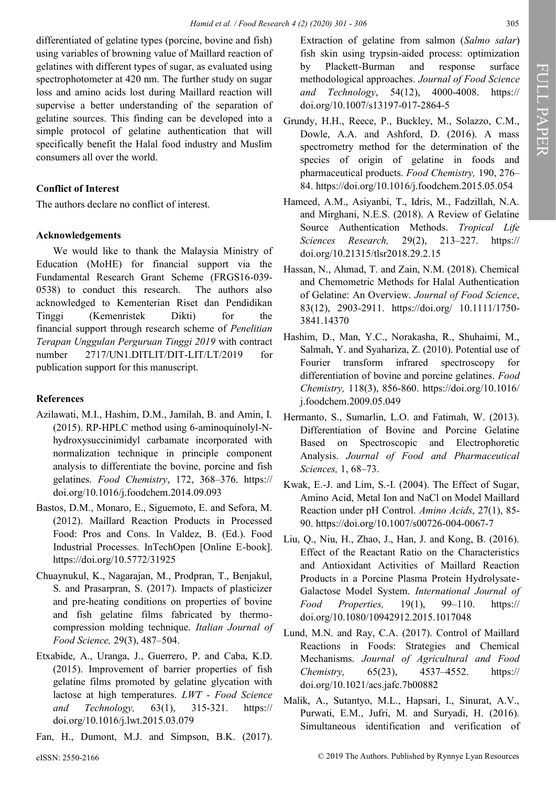differentiated of gelatine types (porcine, bovine and fish) using variables of browning value of Maillard reaction of gelatines with different types of sugar, as evaluated using spectrophotometer at 420 nm. The further study on sugar loss and amino acids lost during Maillard reaction will supervise a better understanding of the separation of gelatine sources. This finding can be developed into a simple protocol of gelatine authentication that will specifically benefit the Halal food industry and Muslim consumers all over the world.

# **Conflict of Interest**

The authors declare no conflict of interest.

## **Acknowledgements**

We would like to thank the Malaysia Ministry of Education (MoHE) for financial support via the Fundamental Research Grant Scheme (FRGS16-039- 0538) to conduct this research. The authors also acknowledged to Kementerian Riset dan Pendidikan Tinggi (Kemenristek Dikti) for the financial support through research scheme of *Penelitian Terapan Unggulan Perguruan Tinggi 2019* with contract number 2717/UN1.DITLIT/DIT-LIT/LT/2019 for publication support for this manuscript.

## **References**

- Azilawati, M.I., Hashim, D.M., Jamilah, B. and Amin, I. (2015). RP-HPLC method using 6-aminoquinolyl-Nhydroxysuccinimidyl carbamate incorporated with normalization technique in principle component analysis to differentiate the bovine, porcine and fish gelatines. *Food Chemistry*, 172, 368–376. [https://](https://doi.org/10.1016/j.foodchem.2014.09.093) [doi.org/10.1016/j.foodchem.2014.09.093](https://doi.org/10.1016/j.foodchem.2014.09.093)
- Bastos, D.M., Monaro, E., Siguemoto, E. and Sefora, M. (2012). Maillard Reaction Products in Processed Food: Pros and Cons. In Valdez, B. (Ed.). Food Industrial Processes. InTechOpen [Online E-book]. https://doi.org/10.5772/31925
- Chuaynukul, K., Nagarajan, M., Prodpran, T., Benjakul, S. and Prasarpran, S. (2017). Impacts of plasticizer and pre-heating conditions on properties of bovine and fish gelatine films fabricated by thermocompression molding technique. *Italian Journal of Food Science,* 29(3), 487–504.
- Etxabide, A., Uranga, J., Guerrero, P. and Caba, K.D. (2015). Improvement of barrier properties of fish gelatine films promoted by gelatine glycation with lactose at high temperatures. *LWT - Food Science and Technology,* 63(1), 315-321. https:// [doi.org/10.1016/j.lwt.2015.03.079](https://doi.org/10.1016/j.lwt.2015.03.079)
- Fan, H., Dumont, M.J. and Simpson, B.K. (2017).

Extraction of gelatine from salmon (*Salmo salar*) fish skin using trypsin-aided process: optimization by Plackett-Burman and response surface methodological approaches. *Journal of Food Science and Technology*, 54(12), 4000-4008. https:// [doi.org/10.1007/s13197](https://doi.org/10.1007/s13197-017-2864-5)-017-2864-5

- Grundy, H.H., Reece, P., Buckley, M., Solazzo, C.M., Dowle, A.A. and Ashford, D. (2016). A mass spectrometry method for the determination of the species of origin of gelatine in foods and pharmaceutical products. *Food Chemistry,* 190, 276– 84.<https://doi.org/10.1016/j.foodchem.2015.05.054>
- Hameed, A.M., Asiyanbi, T., Idris, M., Fadzillah, N.A. and Mirghani, N.E.S. (2018). A Review of Gelatine Source Authentication Methods. *Tropical Life Sciences Research,* 29(2), 213–227. [https://](https://doi.org/10.21315/tlsr2018.29.2.15) [doi.org/10.21315/tlsr2018.29.2.15](https://doi.org/10.21315/tlsr2018.29.2.15)
- Hassan, N., Ahmad, T. and Zain, N.M. (2018). Chemical and Chemometric Methods for Halal Authentication of Gelatine: An Overview. *Journal of Food Science*, 83(12), 2903-2911. https://doi.org/ 10.1111/1750- 3841.14370
- Hashim, D., Man, Y.C., Norakasha, R., Shuhaimi, M., Salmah, Y. and Syahariza, Z. (2010). Potential use of Fourier transform infrared spectroscopy for differentiation of bovine and porcine gelatines. *Food Chemistry,* 118(3), 856-860. [https://doi.org/10.1016/](https://doi.org/10.1016/j.foodchem.2009.05.049) [j.foodchem.2009.05.049](https://doi.org/10.1016/j.foodchem.2009.05.049)
- Hermanto, S., Sumarlin, L.O. and Fatimah, W. (2013). Differentiation of Bovine and Porcine Gelatine Based on Spectroscopic and Electrophoretic Analysis. *Journal of Food and Pharmaceutical Sciences,* 1, 68–73.
- Kwak, E.-J. and Lim, S.-I. (2004). The Effect of Sugar, Amino Acid, Metal Ion and NaCl on Model Maillard Reaction under pH Control. *Amino Acids*, 27(1), 85- 90. [https://doi.org/10.1007/s00726](https://doi.org/10.1007/s00726-004-0067-7)-004-0067-7
- Liu, Q., Niu, H., Zhao, J., Han, J. and Kong, B. (2016). Effect of the Reactant Ratio on the Characteristics and Antioxidant Activities of Maillard Reaction Products in a Porcine Plasma Protein Hydrolysate-Galactose Model System. *International Journal of Food Properties,* 19(1), 99–110. [https://](https://doi.org/10.1080/10942912.2015.1017048) [doi.org/10.1080/10942912.2015.1017048](https://doi.org/10.1080/10942912.2015.1017048)
- Lund, M.N. and Ray, C.A. (2017). Control of Maillard Reactions in Foods: Strategies and Chemical Mechanisms. *Journal of Agricultural and Food Chemistry,* 65(23), 4537–4552. [https://](https://doi.org/10.1021/acs.jafc.7b00882) [doi.org/10.1021/acs.jafc.7b00882](https://doi.org/10.1021/acs.jafc.7b00882)
- Malik, A., Sutantyo, M.L., Hapsari, I., Sinurat, A.V., Purwati, E.M., Jufri, M. and Suryadi, H. (2016). Simultaneous identification and verification of